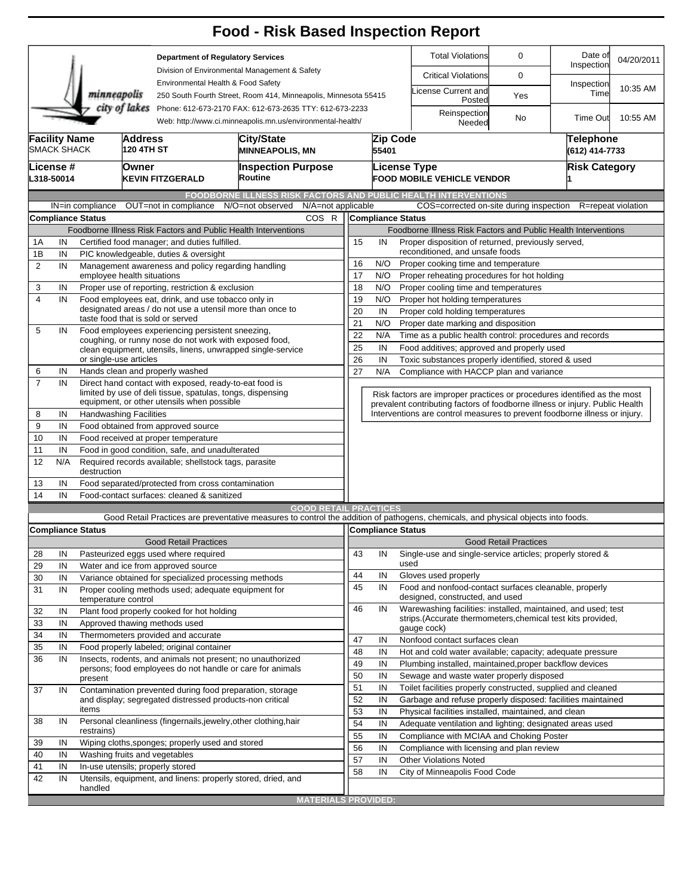|                                                                                                                                        |                                                          |                                                 |                                                                                       |                                                                                                                 | <b>Food - Risk Based Inspection Report</b>                                                                                        |                                                                                                                         |                                                  |                                                          |                                                                              |                              |                             |                    |  |  |  |
|----------------------------------------------------------------------------------------------------------------------------------------|----------------------------------------------------------|-------------------------------------------------|---------------------------------------------------------------------------------------|-----------------------------------------------------------------------------------------------------------------|-----------------------------------------------------------------------------------------------------------------------------------|-------------------------------------------------------------------------------------------------------------------------|--------------------------------------------------|----------------------------------------------------------|------------------------------------------------------------------------------|------------------------------|-----------------------------|--------------------|--|--|--|
|                                                                                                                                        |                                                          |                                                 |                                                                                       | <b>Department of Regulatory Services</b><br>Division of Environmental Management & Safety                       |                                                                                                                                   |                                                                                                                         |                                                  |                                                          | <b>Total Violations</b><br>0                                                 |                              | Date of<br>Inspection       | 04/20/2011         |  |  |  |
|                                                                                                                                        |                                                          |                                                 |                                                                                       |                                                                                                                 |                                                                                                                                   |                                                                                                                         |                                                  |                                                          | <b>Critical Violations</b>                                                   | 0                            |                             |                    |  |  |  |
|                                                                                                                                        |                                                          | minneapolis                                     |                                                                                       | Environmental Health & Food Safety<br>250 South Fourth Street, Room 414, Minneapolis, Minnesota 55415           |                                                                                                                                   |                                                                                                                         |                                                  | icense Current and<br>Posted                             | Yes                                                                          | Inspection<br>Time           | 10:35 AM                    |                    |  |  |  |
| city of lakes<br>Phone: 612-673-2170 FAX: 612-673-2635 TTY: 612-673-2233<br>Web: http://www.ci.minneapolis.mn.us/environmental-health/ |                                                          |                                                 |                                                                                       |                                                                                                                 |                                                                                                                                   |                                                                                                                         |                                                  |                                                          | Reinspection<br>Needed                                                       | No                           | <b>Time Out</b>             | 10:55 AM           |  |  |  |
|                                                                                                                                        | <b>Facility Name</b><br><b>SMACK SHACK</b>               |                                                 | <b>Address</b><br>120 4TH ST                                                          |                                                                                                                 | <b>City/State</b><br><b>MINNEAPOLIS, MN</b>                                                                                       |                                                                                                                         | 55401                                            | Zip Code                                                 |                                                                              |                              | Telephone<br>(612) 414-7733 |                    |  |  |  |
|                                                                                                                                        | License #<br>L318-50014                                  |                                                 | lOwner                                                                                | <b>KEVIN FITZGERALD</b>                                                                                         | <b>Inspection Purpose</b><br>Routine                                                                                              |                                                                                                                         |                                                  |                                                          | <b>License Type</b><br><b>FOOD MOBILE VEHICLE VENDOR</b>                     | <b>Risk Category</b>         |                             |                    |  |  |  |
|                                                                                                                                        |                                                          |                                                 |                                                                                       |                                                                                                                 | <b>FOODBORNE ILLNESS RISK FACTORS AND PUBLIC HEALTH INTERVENTIONS</b>                                                             |                                                                                                                         |                                                  |                                                          |                                                                              |                              |                             |                    |  |  |  |
|                                                                                                                                        |                                                          | IN=in compliance                                |                                                                                       | OUT=not in compliance                                                                                           | N/A=not applicable<br>N/O=not observed                                                                                            |                                                                                                                         |                                                  |                                                          | COS=corrected on-site during inspection                                      |                              |                             | R=repeat violation |  |  |  |
|                                                                                                                                        |                                                          | Compliance Status                               |                                                                                       |                                                                                                                 | COS R                                                                                                                             |                                                                                                                         | <b>Compliance Status</b>                         |                                                          |                                                                              |                              |                             |                    |  |  |  |
|                                                                                                                                        |                                                          |                                                 |                                                                                       |                                                                                                                 | Foodborne Illness Risk Factors and Public Health Interventions                                                                    | Foodborne Illness Risk Factors and Public Health Interventions                                                          |                                                  |                                                          |                                                                              |                              |                             |                    |  |  |  |
| 1A                                                                                                                                     | IN                                                       |                                                 |                                                                                       | Certified food manager; and duties fulfilled.                                                                   |                                                                                                                                   | 15<br>Proper disposition of returned, previously served,<br>IN                                                          |                                                  |                                                          |                                                                              |                              |                             |                    |  |  |  |
| 1B                                                                                                                                     | IN                                                       |                                                 |                                                                                       | PIC knowledgeable, duties & oversight                                                                           |                                                                                                                                   | reconditioned, and unsafe foods                                                                                         |                                                  |                                                          |                                                                              |                              |                             |                    |  |  |  |
| 2                                                                                                                                      | IN<br>Management awareness and policy regarding handling |                                                 |                                                                                       |                                                                                                                 |                                                                                                                                   |                                                                                                                         | 16<br>N/O<br>Proper cooking time and temperature |                                                          |                                                                              |                              |                             |                    |  |  |  |
|                                                                                                                                        |                                                          | employee health situations                      |                                                                                       |                                                                                                                 |                                                                                                                                   |                                                                                                                         |                                                  | 17<br>N/O<br>Proper reheating procedures for hot holding |                                                                              |                              |                             |                    |  |  |  |
| 3                                                                                                                                      | IN                                                       |                                                 |                                                                                       | Proper use of reporting, restriction & exclusion                                                                |                                                                                                                                   | 18<br>N/O<br>Proper cooling time and temperatures                                                                       |                                                  |                                                          |                                                                              |                              |                             |                    |  |  |  |
| 4                                                                                                                                      | IN                                                       |                                                 |                                                                                       | Food employees eat, drink, and use tobacco only in<br>designated areas / do not use a utensil more than once to |                                                                                                                                   |                                                                                                                         |                                                  | 19<br>N/O<br>Proper hot holding temperatures             |                                                                              |                              |                             |                    |  |  |  |
|                                                                                                                                        |                                                          |                                                 | taste food that is sold or served                                                     |                                                                                                                 | 20<br>IN<br>Proper cold holding temperatures                                                                                      |                                                                                                                         |                                                  |                                                          |                                                                              |                              |                             |                    |  |  |  |
| 5                                                                                                                                      | IN                                                       |                                                 | Food employees experiencing persistent sneezing,                                      |                                                                                                                 | 21<br>N/O<br>Proper date marking and disposition<br>Time as a public health control: procedures and records                       |                                                                                                                         |                                                  |                                                          |                                                                              |                              |                             |                    |  |  |  |
|                                                                                                                                        |                                                          |                                                 |                                                                                       | coughing, or runny nose do not work with exposed food,                                                          |                                                                                                                                   | 22                                                                                                                      | N/A                                              |                                                          |                                                                              |                              |                             |                    |  |  |  |
|                                                                                                                                        |                                                          |                                                 | clean equipment, utensils, linens, unwrapped single-service<br>or single-use articles |                                                                                                                 |                                                                                                                                   |                                                                                                                         |                                                  | 25<br>IN<br>Food additives; approved and properly used   |                                                                              |                              |                             |                    |  |  |  |
| 6                                                                                                                                      | IN                                                       |                                                 |                                                                                       | Hands clean and properly washed                                                                                 |                                                                                                                                   | 26<br>IN<br>Toxic substances properly identified, stored & used<br>27<br>N/A<br>Compliance with HACCP plan and variance |                                                  |                                                          |                                                                              |                              |                             |                    |  |  |  |
| $\overline{7}$                                                                                                                         | IN                                                       |                                                 | Direct hand contact with exposed, ready-to-eat food is                                |                                                                                                                 |                                                                                                                                   |                                                                                                                         |                                                  |                                                          |                                                                              |                              |                             |                    |  |  |  |
|                                                                                                                                        |                                                          |                                                 |                                                                                       | limited by use of deli tissue, spatulas, tongs, dispensing                                                      |                                                                                                                                   |                                                                                                                         |                                                  |                                                          | Risk factors are improper practices or procedures identified as the most     |                              |                             |                    |  |  |  |
|                                                                                                                                        |                                                          |                                                 |                                                                                       | equipment, or other utensils when possible                                                                      |                                                                                                                                   |                                                                                                                         |                                                  |                                                          | prevalent contributing factors of foodborne illness or injury. Public Health |                              |                             |                    |  |  |  |
| 8                                                                                                                                      | IN                                                       | <b>Handwashing Facilities</b>                   |                                                                                       |                                                                                                                 |                                                                                                                                   |                                                                                                                         |                                                  |                                                          | Interventions are control measures to prevent foodborne illness or injury.   |                              |                             |                    |  |  |  |
| 9                                                                                                                                      | IN                                                       |                                                 |                                                                                       | Food obtained from approved source                                                                              |                                                                                                                                   |                                                                                                                         |                                                  |                                                          |                                                                              |                              |                             |                    |  |  |  |
| 10                                                                                                                                     | IN                                                       |                                                 |                                                                                       | Food received at proper temperature                                                                             |                                                                                                                                   |                                                                                                                         |                                                  |                                                          |                                                                              |                              |                             |                    |  |  |  |
| 11                                                                                                                                     | IN                                                       | Food in good condition, safe, and unadulterated |                                                                                       |                                                                                                                 |                                                                                                                                   |                                                                                                                         |                                                  |                                                          |                                                                              |                              |                             |                    |  |  |  |
| 12                                                                                                                                     | N/A                                                      | destruction                                     |                                                                                       | Required records available; shellstock tags, parasite                                                           |                                                                                                                                   |                                                                                                                         |                                                  |                                                          |                                                                              |                              |                             |                    |  |  |  |
| 13                                                                                                                                     | IN                                                       |                                                 |                                                                                       | Food separated/protected from cross contamination                                                               |                                                                                                                                   |                                                                                                                         |                                                  |                                                          |                                                                              |                              |                             |                    |  |  |  |
| 14                                                                                                                                     | IN                                                       |                                                 |                                                                                       | Food-contact surfaces: cleaned & sanitized                                                                      |                                                                                                                                   |                                                                                                                         |                                                  |                                                          |                                                                              |                              |                             |                    |  |  |  |
|                                                                                                                                        |                                                          |                                                 |                                                                                       |                                                                                                                 | <b>GOOD RETAIL PRACTICES</b>                                                                                                      |                                                                                                                         |                                                  |                                                          |                                                                              |                              |                             |                    |  |  |  |
|                                                                                                                                        |                                                          | <b>Compliance Status</b>                        |                                                                                       |                                                                                                                 | Good Retail Practices are preventative measures to control the addition of pathogens, chemicals, and physical objects into foods. | Compliance Status                                                                                                       |                                                  |                                                          |                                                                              |                              |                             |                    |  |  |  |
|                                                                                                                                        |                                                          |                                                 |                                                                                       | <b>Good Retail Practices</b>                                                                                    |                                                                                                                                   |                                                                                                                         |                                                  |                                                          |                                                                              | <b>Good Retail Practices</b> |                             |                    |  |  |  |
| 28                                                                                                                                     | IN                                                       |                                                 |                                                                                       | Pasteurized eggs used where required                                                                            |                                                                                                                                   | 43                                                                                                                      | IN                                               |                                                          | Single-use and single-service articles; properly stored &                    |                              |                             |                    |  |  |  |
| 29                                                                                                                                     | IN                                                       |                                                 |                                                                                       | Water and ice from approved source                                                                              |                                                                                                                                   |                                                                                                                         |                                                  | used                                                     |                                                                              |                              |                             |                    |  |  |  |
| 30                                                                                                                                     | IN                                                       |                                                 |                                                                                       | Variance obtained for specialized processing methods                                                            |                                                                                                                                   | 44                                                                                                                      | IN                                               |                                                          | Gloves used properly                                                         |                              |                             |                    |  |  |  |
| 31                                                                                                                                     | IN                                                       |                                                 |                                                                                       | Proper cooling methods used; adequate equipment for                                                             |                                                                                                                                   | 45                                                                                                                      | IN                                               |                                                          | Food and nonfood-contact surfaces cleanable, properly                        |                              |                             |                    |  |  |  |
|                                                                                                                                        |                                                          | temperature control                             |                                                                                       |                                                                                                                 |                                                                                                                                   |                                                                                                                         |                                                  |                                                          | designed, constructed, and used                                              |                              |                             |                    |  |  |  |
| 32                                                                                                                                     | IN                                                       |                                                 |                                                                                       | Plant food properly cooked for hot holding                                                                      |                                                                                                                                   | 46                                                                                                                      | IN                                               |                                                          | Warewashing facilities: installed, maintained, and used; test                |                              |                             |                    |  |  |  |
| 33                                                                                                                                     | IN                                                       |                                                 |                                                                                       | Approved thawing methods used                                                                                   |                                                                                                                                   |                                                                                                                         |                                                  |                                                          | strips. (Accurate thermometers, chemical test kits provided,<br>gauge cock)  |                              |                             |                    |  |  |  |
| 34                                                                                                                                     | IN                                                       |                                                 | Thermometers provided and accurate                                                    |                                                                                                                 | 47                                                                                                                                | IN                                                                                                                      |                                                  | Nonfood contact surfaces clean                           |                                                                              |                              |                             |                    |  |  |  |
| 35                                                                                                                                     | IN                                                       |                                                 | Food properly labeled; original container                                             |                                                                                                                 |                                                                                                                                   |                                                                                                                         |                                                  |                                                          | Hot and cold water available; capacity; adequate pressure                    |                              |                             |                    |  |  |  |
| 36                                                                                                                                     | IN                                                       |                                                 |                                                                                       | Insects, rodents, and animals not present; no unauthorized                                                      | 48<br>49                                                                                                                          | IN<br>IN                                                                                                                |                                                  | Plumbing installed, maintained, proper backflow devices  |                                                                              |                              |                             |                    |  |  |  |
|                                                                                                                                        |                                                          | present                                         |                                                                                       | persons; food employees do not handle or care for animals                                                       | 50                                                                                                                                | IN                                                                                                                      |                                                  | Sewage and waste water properly disposed                 |                                                                              |                              |                             |                    |  |  |  |
| 37                                                                                                                                     | IN                                                       |                                                 |                                                                                       |                                                                                                                 |                                                                                                                                   | 51                                                                                                                      | IN                                               |                                                          | Toilet facilities properly constructed, supplied and cleaned                 |                              |                             |                    |  |  |  |
|                                                                                                                                        |                                                          |                                                 |                                                                                       |                                                                                                                 | Contamination prevented during food preparation, storage<br>and display; segregated distressed products-non critical              |                                                                                                                         | IN                                               |                                                          | Garbage and refuse properly disposed: facilities maintained                  |                              |                             |                    |  |  |  |
|                                                                                                                                        |                                                          | items                                           |                                                                                       |                                                                                                                 |                                                                                                                                   | 52<br>53                                                                                                                | IN                                               |                                                          | Physical facilities installed, maintained, and clean                         |                              |                             |                    |  |  |  |
| 38                                                                                                                                     | IN                                                       |                                                 |                                                                                       |                                                                                                                 | Personal cleanliness (fingernails, jewelry, other clothing, hair                                                                  | 54                                                                                                                      | IN                                               |                                                          | Adequate ventilation and lighting; designated areas used                     |                              |                             |                    |  |  |  |
|                                                                                                                                        |                                                          | restrains)                                      |                                                                                       |                                                                                                                 |                                                                                                                                   | 55                                                                                                                      | IN                                               |                                                          | Compliance with MCIAA and Choking Poster                                     |                              |                             |                    |  |  |  |
| 39                                                                                                                                     | IN                                                       |                                                 | Wiping cloths, sponges; properly used and stored                                      |                                                                                                                 |                                                                                                                                   |                                                                                                                         |                                                  |                                                          | Compliance with licensing and plan review                                    |                              |                             |                    |  |  |  |
| 40                                                                                                                                     | IN                                                       | Washing fruits and vegetables                   |                                                                                       |                                                                                                                 | 56<br>57                                                                                                                          | IN<br>IN                                                                                                                |                                                  | <b>Other Violations Noted</b>                            |                                                                              |                              |                             |                    |  |  |  |
| 41                                                                                                                                     | IN                                                       | In-use utensils; properly stored                |                                                                                       |                                                                                                                 |                                                                                                                                   | 58                                                                                                                      | IN                                               |                                                          | City of Minneapolis Food Code                                                |                              |                             |                    |  |  |  |
| 42                                                                                                                                     | IN                                                       | handled                                         |                                                                                       |                                                                                                                 | Utensils, equipment, and linens: properly stored, dried, and                                                                      |                                                                                                                         |                                                  |                                                          |                                                                              |                              |                             |                    |  |  |  |
|                                                                                                                                        |                                                          |                                                 |                                                                                       |                                                                                                                 |                                                                                                                                   |                                                                                                                         |                                                  |                                                          |                                                                              |                              |                             |                    |  |  |  |
|                                                                                                                                        |                                                          |                                                 |                                                                                       |                                                                                                                 | <b>MATERIALS PROVIDED:</b>                                                                                                        |                                                                                                                         |                                                  |                                                          |                                                                              |                              |                             |                    |  |  |  |